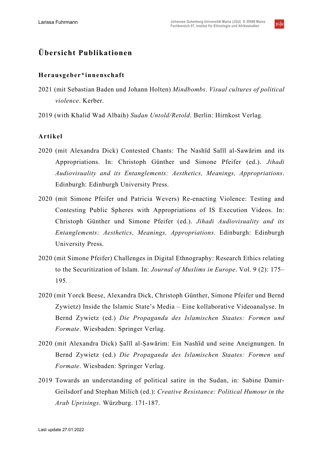$JG$ <sub>U</sub>

# **Übersicht Publikationen**

#### **Herausgeber\*innenschaft**

- 2021 (mit Sebastian Baden und Johann Holten) *Mindbombs*. *Visual cultures of political violence*. Kerber.
- 2019 (with Khalid Wad Albaih) *Sudan Untold/Retold*. Berlin: Hirnkost Verlag.

#### **Artikel**

- 2020 (mit Alexandra Dick) Contested Chants: The Nashīd Salīl al-Sawārim and its Appropriations. In: Christoph Günther und Simone Pfeifer (ed.). *Jihadi Audiovisuality and its Entanglements: Aesthetics, Meanings, Appropriations*. Edinburgh: Edinburgh University Press.
- 2020 (mit Simone Pfeifer und Patricia Wevers) Re-enacting Violence: Testing and Contesting Public Spheres with Appropriations of IS Execution Videos. In: Christoph Günther und Simone Pfeifer (ed.). *Jihadi Audiovisuality and its Entanglements: Aesthetics, Meanings, Appropriations.* Edinburgh: Edinburgh University Press.
- 2020 (mit Simone Pfeifer) Challenges in Digital Ethnography: Research Ethics relating to the Securitization of Islam. In: *Journal of Muslims in Europe*. Vol. 9 (2): 175– 195.
- 2020 (mit Yorck Beese, Alexandra Dick, Christoph Günther, Simone Pfeifer und Bernd Zywietz) Inside the Islamic State's Media – Eine kollaborative Videoanalyse. In Bernd Zywietz (ed.) *Die Propaganda des Islamischen Staates: Formen und Formate*. Wiesbaden: Springer Verlag.
- 2020 (mit Alexandra Dick) Ṣalīl al-Ṣawārim: Ein Nashīd und seine Aneignungen. In Bernd Zywietz (ed.) *Die Propaganda des Islamischen Staates: Formen und Formate*. Wiesbaden: Springer Verlag.
- 2019 Towards an understanding of political satire in the Sudan, in: Sabine Damir-Geilsdorf and Stephan Milich (ed.): *Creative Resistance: Political Humour in the Arab Uprisings*. Würzburg. 171-187.